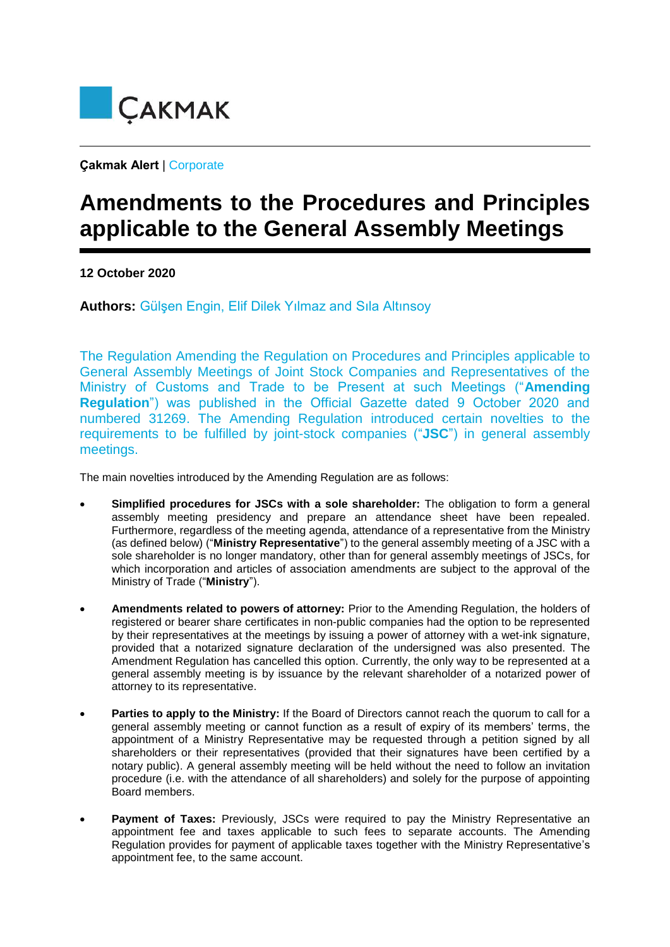

**Çakmak Alert** | Corporate

## **Amendments to the Procedures and Principles applicable to the General Assembly Meetings**

**12 October 2020**

**Authors:** Gülşen Engin, Elif Dilek Yılmaz and Sıla Altınsoy

The Regulation Amending the Regulation on Procedures and Principles applicable to General Assembly Meetings of Joint Stock Companies and Representatives of the Ministry of Customs and Trade to be Present at such Meetings ("**Amending Regulation**") was published in the Official Gazette dated 9 October 2020 and numbered 31269. The Amending Regulation introduced certain novelties to the requirements to be fulfilled by joint-stock companies ("**JSC**") in general assembly meetings.

The main novelties introduced by the Amending Regulation are as follows:

- **Simplified procedures for JSCs with a sole shareholder:** The obligation to form a general assembly meeting presidency and prepare an attendance sheet have been repealed. Furthermore, regardless of the meeting agenda, attendance of a representative from the Ministry (as defined below) ("**Ministry Representative**") to the general assembly meeting of a JSC with a sole shareholder is no longer mandatory, other than for general assembly meetings of JSCs, for which incorporation and articles of association amendments are subject to the approval of the Ministry of Trade ("**Ministry**").
- **Amendments related to powers of attorney:** Prior to the Amending Regulation, the holders of registered or bearer share certificates in non-public companies had the option to be represented by their representatives at the meetings by issuing a power of attorney with a wet-ink signature, provided that a notarized signature declaration of the undersigned was also presented. The Amendment Regulation has cancelled this option. Currently, the only way to be represented at a general assembly meeting is by issuance by the relevant shareholder of a notarized power of attorney to its representative.
- **Parties to apply to the Ministry:** If the Board of Directors cannot reach the quorum to call for a general assembly meeting or cannot function as a result of expiry of its members' terms, the appointment of a Ministry Representative may be requested through a petition signed by all shareholders or their representatives (provided that their signatures have been certified by a notary public). A general assembly meeting will be held without the need to follow an invitation procedure (i.e. with the attendance of all shareholders) and solely for the purpose of appointing Board members.
- **Payment of Taxes:** Previously, JSCs were required to pay the Ministry Representative an appointment fee and taxes applicable to such fees to separate accounts. The Amending Regulation provides for payment of applicable taxes together with the Ministry Representative's appointment fee, to the same account.